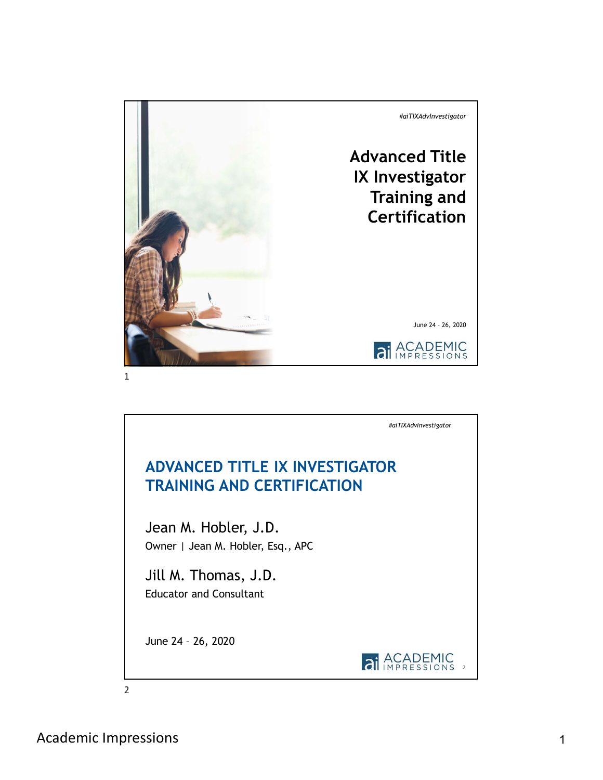

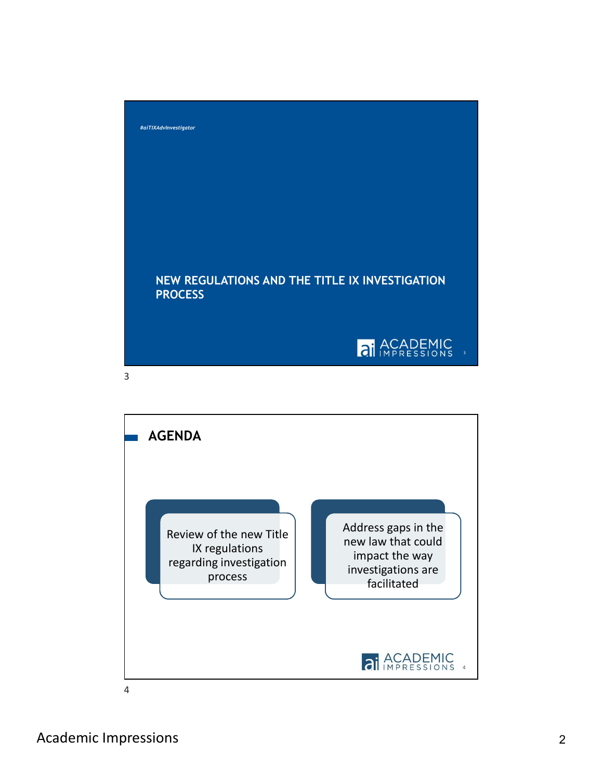



Academic Impressions 2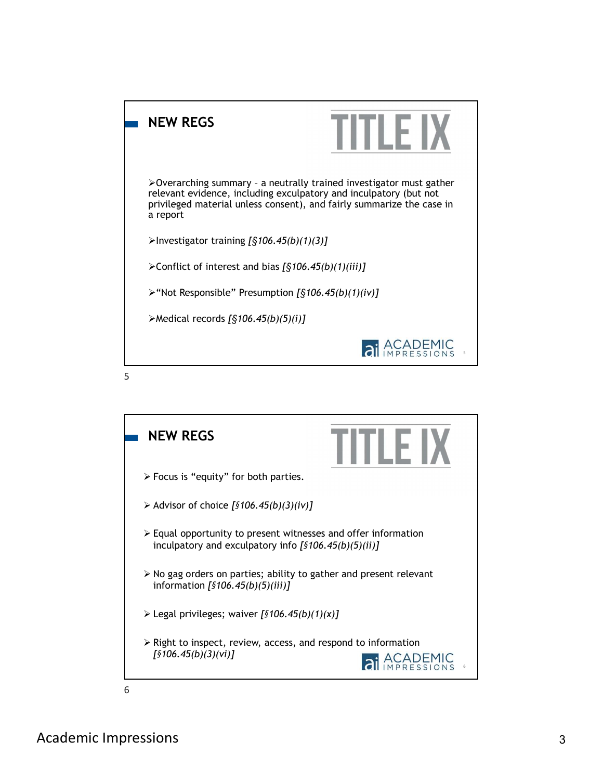

 $5<sub>5</sub>$ 

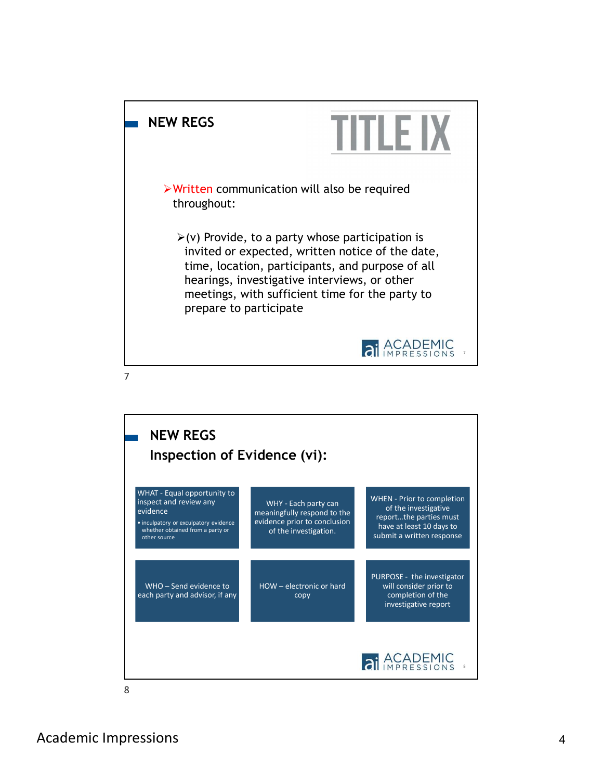



Academic Impressions 4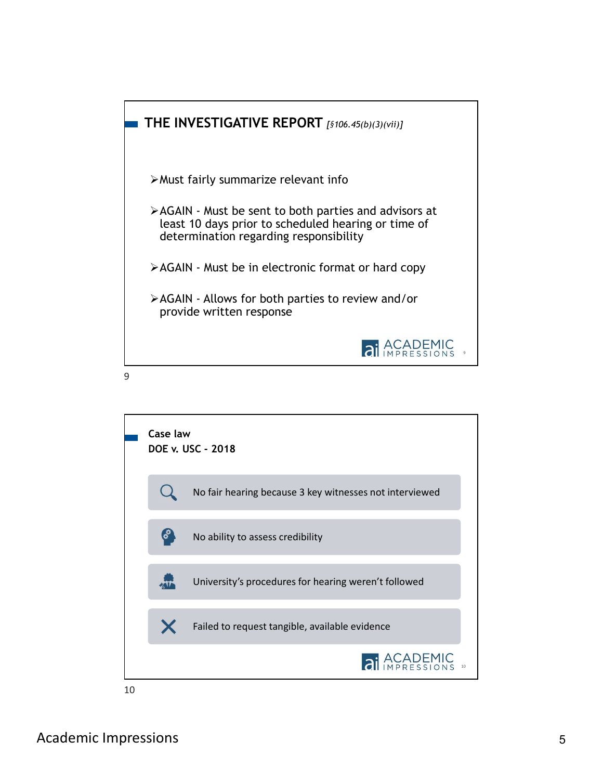

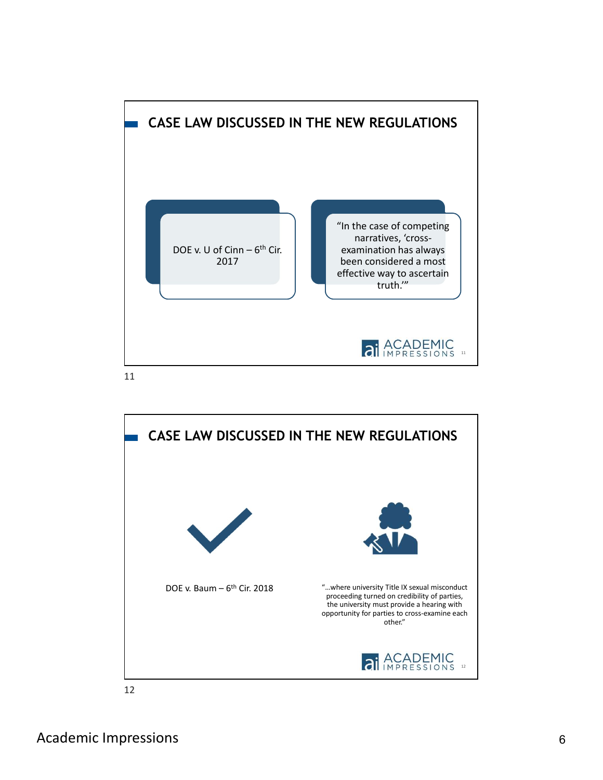

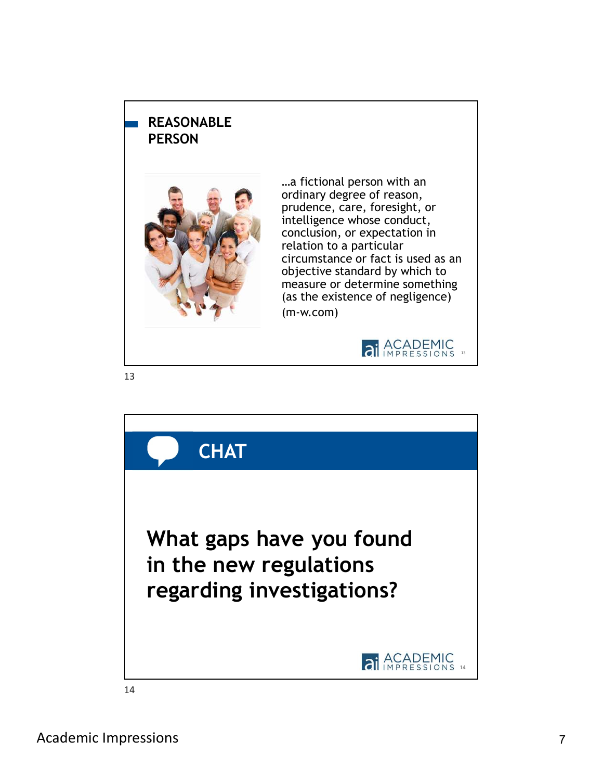## REASONABLE PERSON



…a fictional person with an ordinary degree of reason, prudence, care, foresight, or intelligence whose conduct, conclusion, or expectation in relation to a particular circumstance or fact is used as an objective standard by which to measure or determine something (as the existence of negligence) (m-w.com)